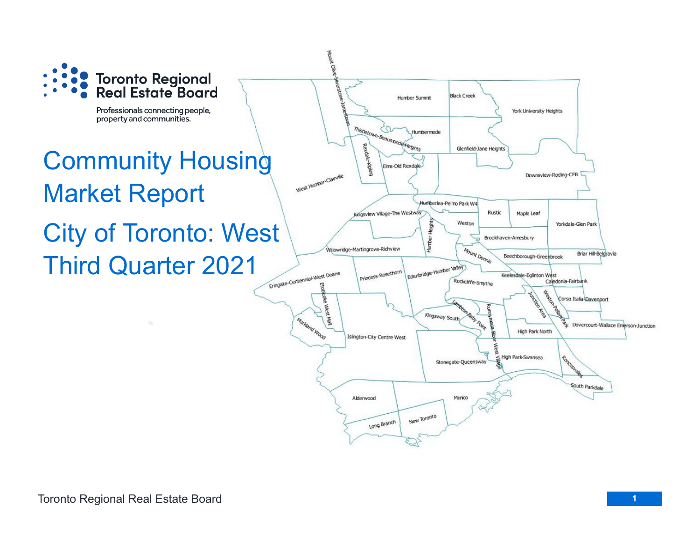

Professionals connecting people, property and communities.

# Community Housing Market Report City of Toronto: West Third Quarter 2021

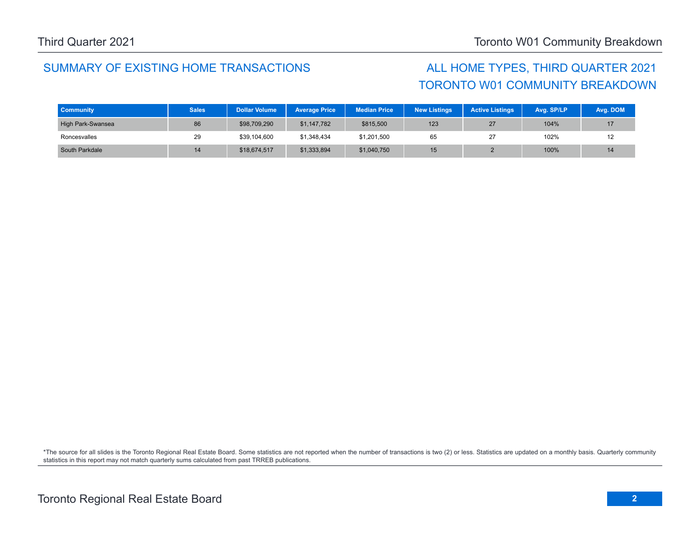## SUMMARY OF EXISTING HOME TRANSACTIONS ALL HOME TYPES, THIRD QUARTER 2021

# TORONTO W01 COMMUNITY BREAKDOWN

| <b>Community</b>  | <b>Sales</b> | <b>Dollar Volume</b> | <b>Average Price</b> | <b>Median Price</b> | <b>New Listings</b> | <b>Active Listings</b> | Avg. SP/LP | Avg. DOM |
|-------------------|--------------|----------------------|----------------------|---------------------|---------------------|------------------------|------------|----------|
| High Park-Swansea | 86           | \$98,709,290         | \$1,147,782          | \$815,500           | 123                 | 27                     | 104%       | 17       |
| Roncesvalles      | 29           | \$39,104,600         | \$1.348.434          | \$1.201.500         | 65                  | 27                     | 102%       |          |
| South Parkdale    | 14           | \$18,674,517         | \$1,333,894          | \$1,040,750         | 15                  |                        | 100%       | 14       |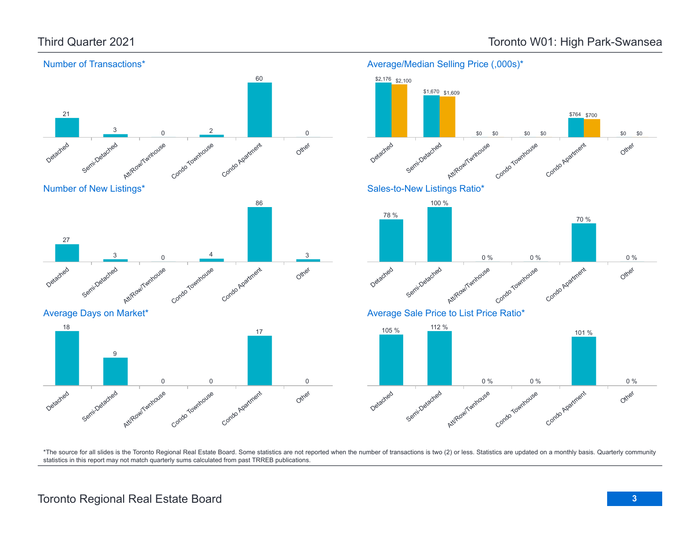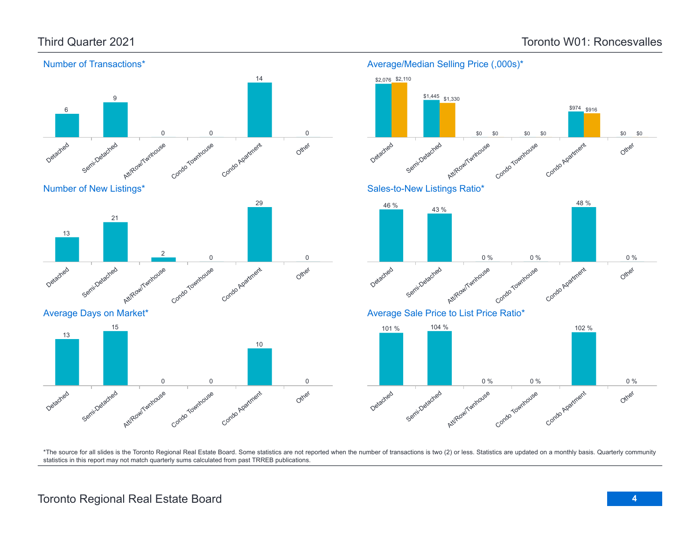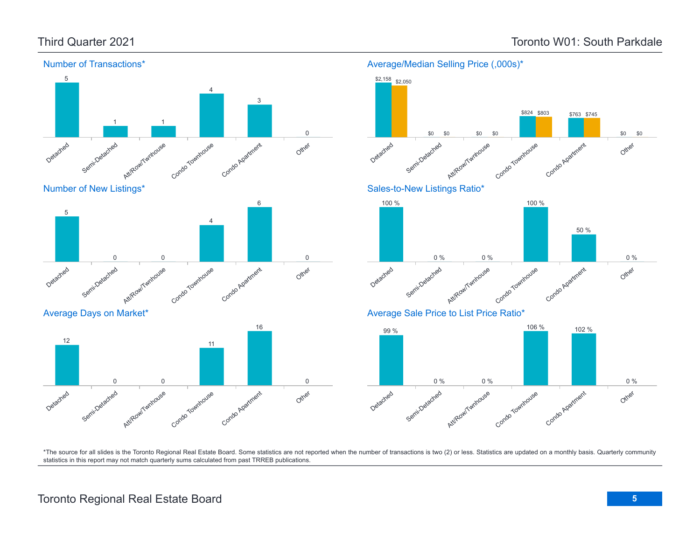\$763 \$745



Condo Townhouse

11

Condo Agatment

### Number of Transactions\*



\$824 \$803

Average/Median Selling Price (,000s)\*

\$2,158 \$2,050

\*The source for all slides is the Toronto Regional Real Estate Board. Some statistics are not reported when the number of transactions is two (2) or less. Statistics are updated on a monthly basis. Quarterly community statistics in this report may not match quarterly sums calculated from past TRREB publications.

Other

0

Att/Row/Twnhouse

0 0

Detached

12

Semi-Detached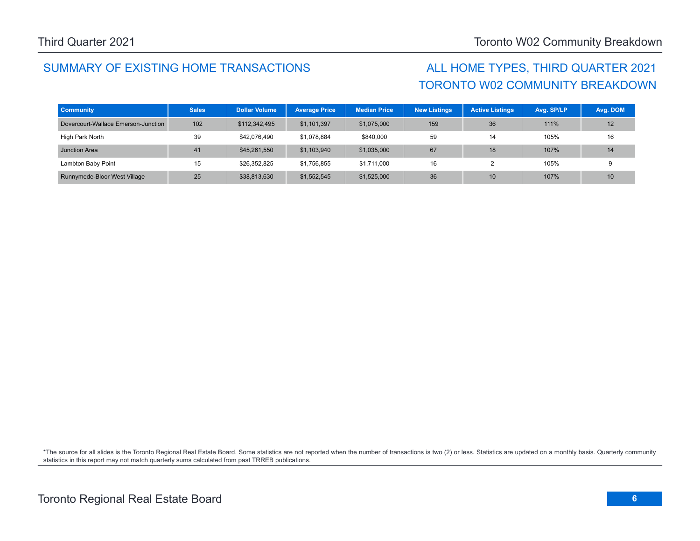## SUMMARY OF EXISTING HOME TRANSACTIONS ALL HOME TYPES, THIRD QUARTER 2021

# TORONTO W02 COMMUNITY BREAKDOWN

| <b>Community</b>                    | <b>Sales</b> | <b>Dollar Volume</b> | <b>Average Price</b> | <b>Median Price</b> | <b>New Listings</b> | <b>Active Listings</b> | Avg. SP/LP | Avg. DOM |
|-------------------------------------|--------------|----------------------|----------------------|---------------------|---------------------|------------------------|------------|----------|
| Dovercourt-Wallace Emerson-Junction | 102          | \$112,342,495        | \$1,101,397          | \$1,075,000         | 159                 | 36                     | 111%       | 12       |
| High Park North                     | 39           | \$42,076,490         | \$1,078,884          | \$840,000           | 59                  | 14                     | 105%       | 16       |
| Junction Area                       | 41           | \$45,261,550         | \$1,103,940          | \$1,035,000         | 67                  | 18                     | 107%       | 14       |
| Lambton Baby Point                  | 15           | \$26.352.825         | \$1,756,855          | \$1,711,000         | 16                  |                        | 105%       |          |
| Runnymede-Bloor West Village        | 25           | \$38,813,630         | \$1,552,545          | \$1,525,000         | 36                  | 10                     | 107%       | 10       |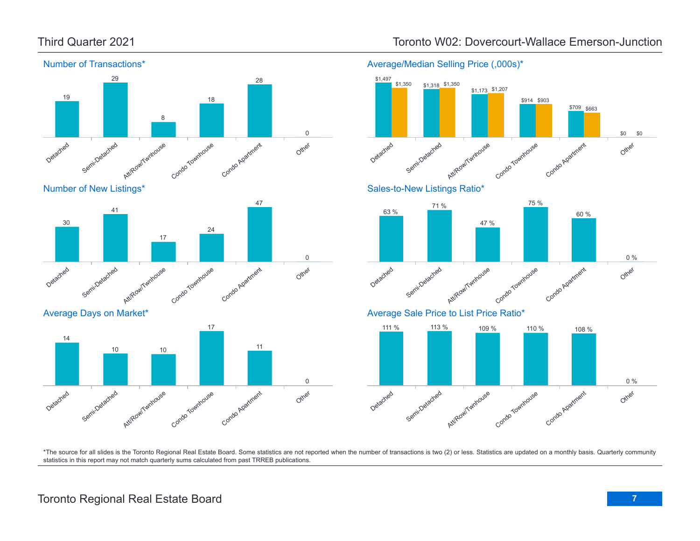Detached

14

Detached

30

Semi-Detached

Average Days on Market\*

Semi-Detached

Att/RowlTwnhouse

17



Condo Townhouse

Condo Townhouse

24

17

Condo Apartment

Condo Agatment

11

Other

Other

0

0

Average/Median Selling Price (,000s)\*



\*The source for all slides is the Toronto Regional Real Estate Board. Some statistics are not reported when the number of transactions is two (2) or less. Statistics are updated on a monthly basis. Quarterly community statistics in this report may not match quarterly sums calculated from past TRREB publications.

## Third Quarter 2021 Toronto W02: Dovercourt-Wallace Emerson-Junction

Att/Row/Twnhouse

10 10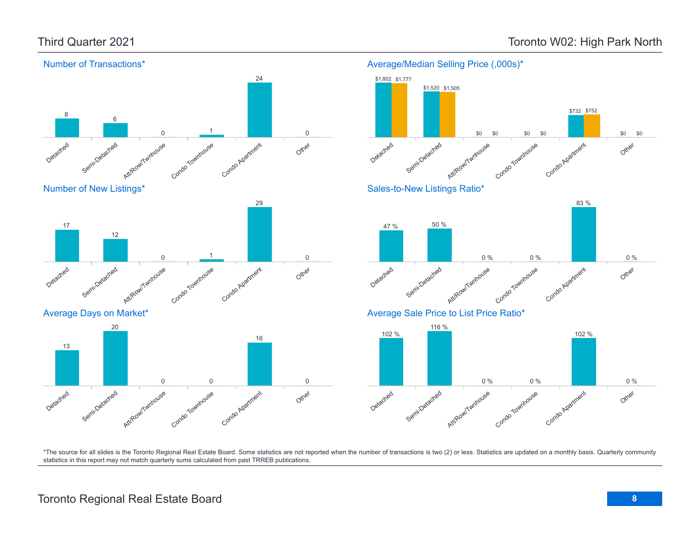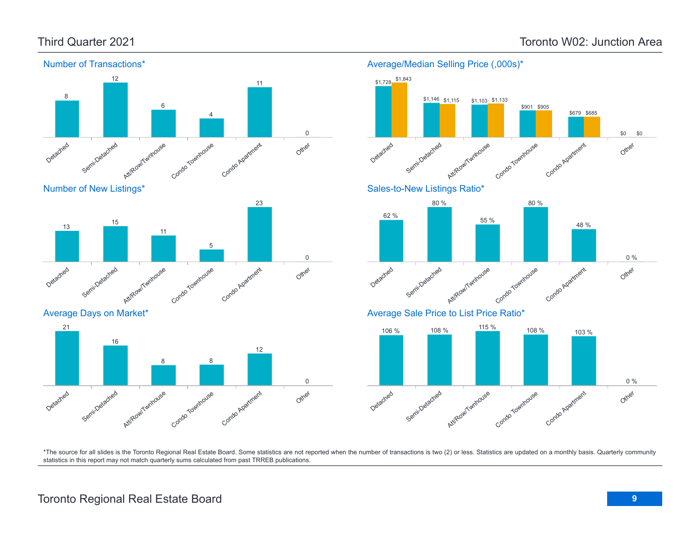Other

Other

Other

0 %

0 %

\$0

\$0

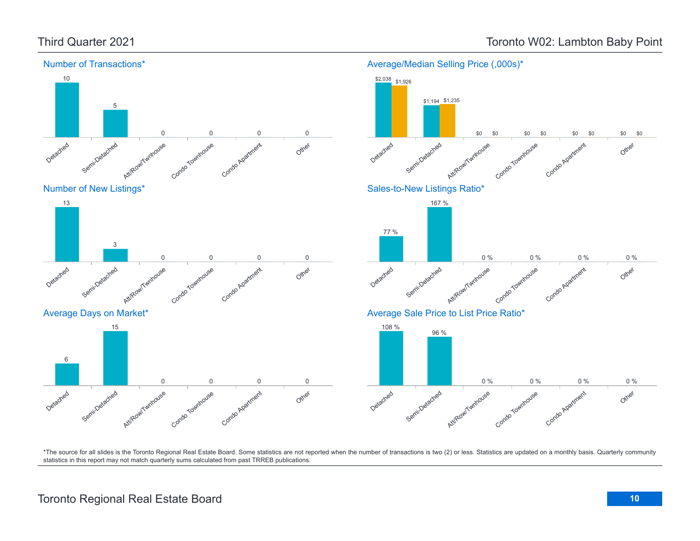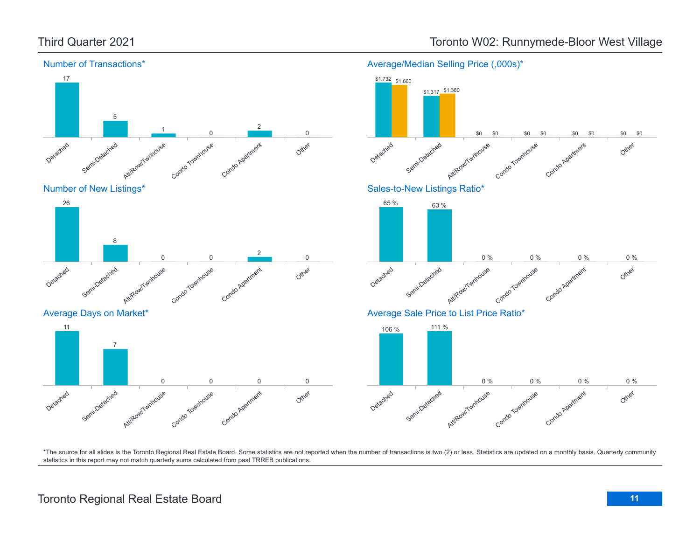

## Third Quarter 2021 Toronto W02: Runnymede-Bloor West Village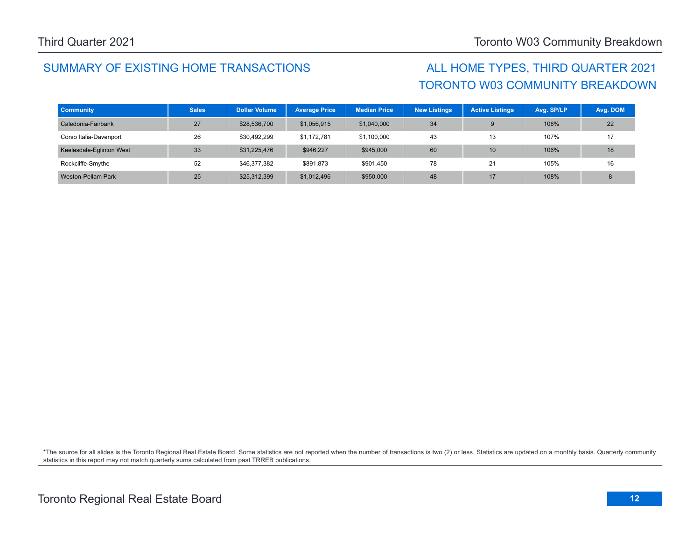## SUMMARY OF EXISTING HOME TRANSACTIONS ALL HOME TYPES, THIRD QUARTER 2021

# TORONTO W03 COMMUNITY BREAKDOWN

| <b>Community</b>         | <b>Sales</b> | <b>Dollar Volume</b> | <b>Average Price</b> | <b>Median Price</b> | <b>New Listings</b> | <b>Active Listings</b> | Avg. SP/LP | Avg. DOM |
|--------------------------|--------------|----------------------|----------------------|---------------------|---------------------|------------------------|------------|----------|
| Caledonia-Fairbank       | 27           | \$28,536,700         | \$1,056,915          | \$1,040,000         | 34                  |                        | 108%       | 22       |
| Corso Italia-Davenport   | 26           | \$30,492,299         | \$1.172.781          | \$1,100,000         | 43                  | 13                     | 107%       | 17       |
| Keelesdale-Eglinton West | 33           | \$31,225,476         | \$946,227            | \$945,000           | 60                  | 10                     | 106%       | 18       |
| Rockcliffe-Smythe        | 52           | \$46,377,382         | \$891,873            | \$901,450           | 78                  | 21                     | 105%       | 16       |
| Weston-Pellam Park       | 25           | \$25,312,399         | \$1,012,496          | \$950,000           | 48                  | 17                     | 108%       |          |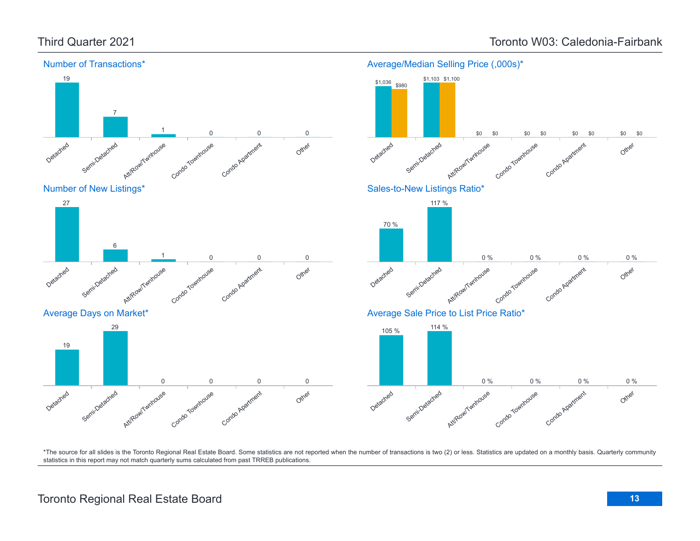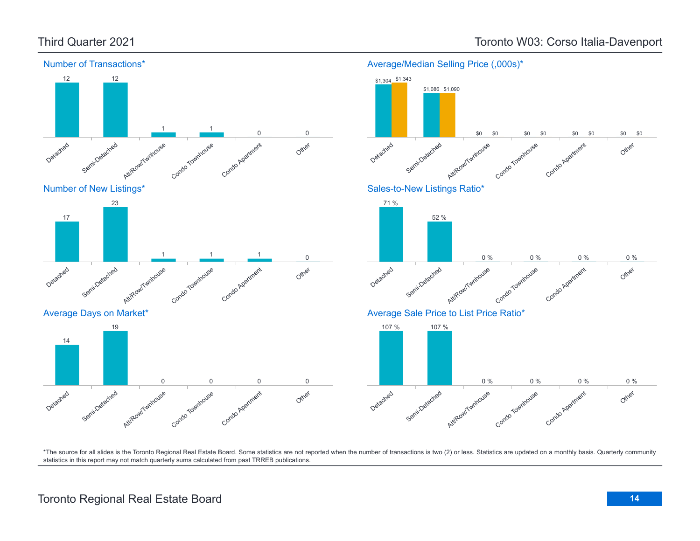

Other

Other

Other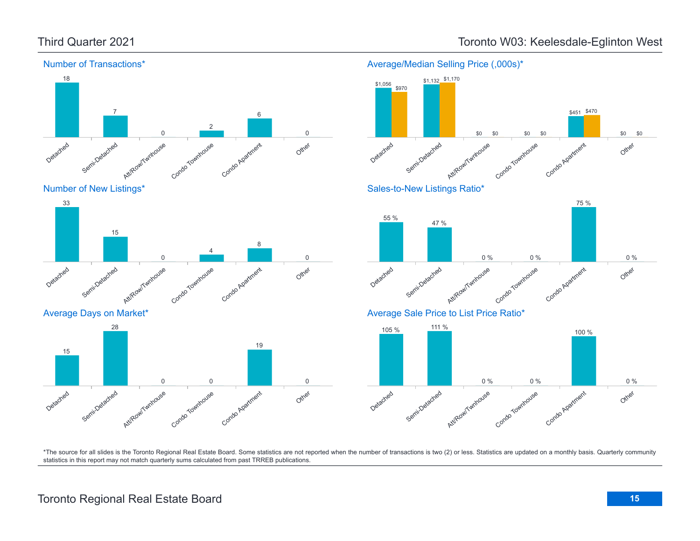Average Days on Market\*

28

Semi-Detached

Detached

15



### Third Quarter 2021 Toronto W03: Keelesdale-Eglinton West

Average/Median Selling Price (,000s)\*



\*The source for all slides is the Toronto Regional Real Estate Board. Some statistics are not reported when the number of transactions is two (2) or less. Statistics are updated on a monthly basis. Quarterly community statistics in this report may not match quarterly sums calculated from past TRREB publications.

Other

0

Att/Row/Twnhouse

Condo Townhouse

0 0

Condo Apartment

19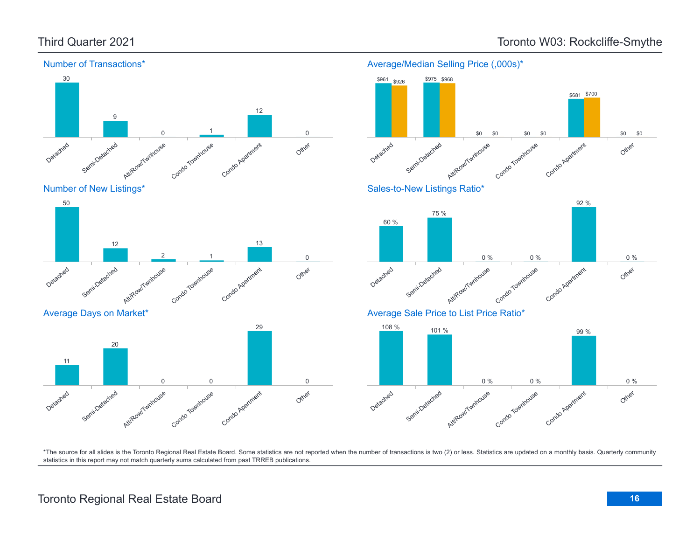





Average Days on Market\*





Average/Median Selling Price (,000s)\*

\$975 \$968

\$961 \$975 \$926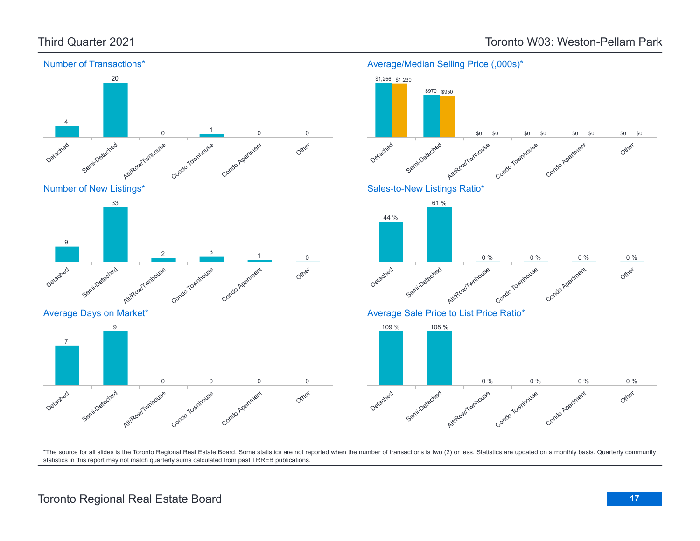

Other

Other

Other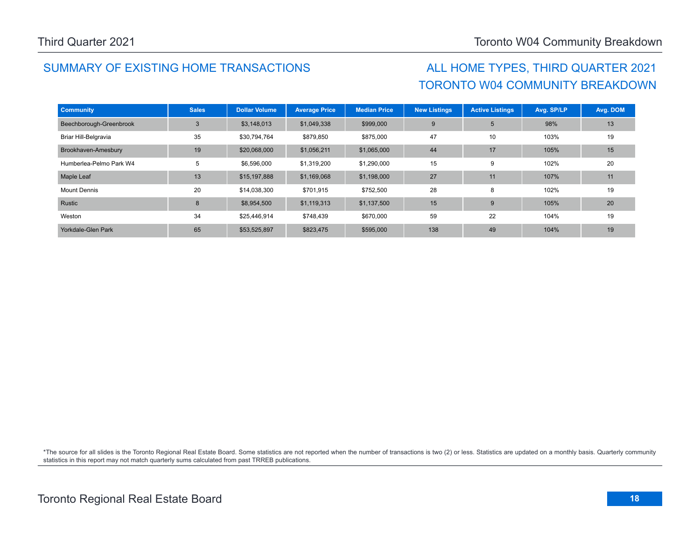## SUMMARY OF EXISTING HOME TRANSACTIONS ALL HOME TYPES, THIRD QUARTER 2021

# TORONTO W04 COMMUNITY BREAKDOWN

| <b>Community</b>        | <b>Sales</b> | <b>Dollar Volume</b> | <b>Average Price</b> | <b>Median Price</b> | <b>New Listings</b> | <b>Active Listings</b> | Avg. SP/LP | Avg. DOM |
|-------------------------|--------------|----------------------|----------------------|---------------------|---------------------|------------------------|------------|----------|
| Beechborough-Greenbrook | 3            | \$3,148,013          | \$1,049,338          | \$999,000           | 9                   | 5                      | 98%        | 13       |
| Briar Hill-Belgravia    | 35           | \$30,794,764         | \$879,850            | \$875,000           | 47                  | 10                     | 103%       | 19       |
| Brookhaven-Amesbury     | 19           | \$20,068,000         | \$1,056,211          | \$1,065,000         | 44                  | 17                     | 105%       | 15       |
| Humberlea-Pelmo Park W4 | 5            | \$6,596,000          | \$1,319,200          | \$1,290,000         | 15                  | 9                      | 102%       | 20       |
| Maple Leaf              | 13           | \$15,197,888         | \$1,169,068          | \$1,198,000         | 27                  | 11                     | 107%       | 11       |
| <b>Mount Dennis</b>     | 20           | \$14,038,300         | \$701,915            | \$752,500           | 28                  | 8                      | 102%       | 19       |
| Rustic                  | 8            | \$8,954,500          | \$1,119,313          | \$1,137,500         | 15                  | 9                      | 105%       | 20       |
| Weston                  | 34           | \$25,446,914         | \$748,439            | \$670,000           | 59                  | 22                     | 104%       | 19       |
| Yorkdale-Glen Park      | 65           | \$53,525,897         | \$823,475            | \$595,000           | 138                 | 49                     | 104%       | 19       |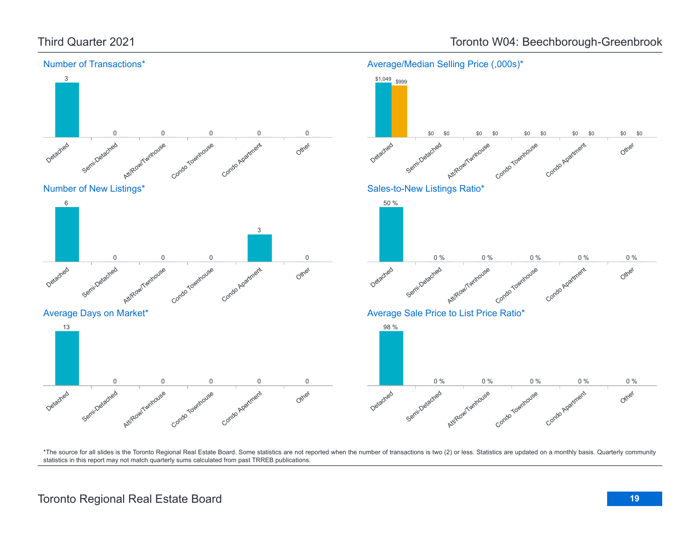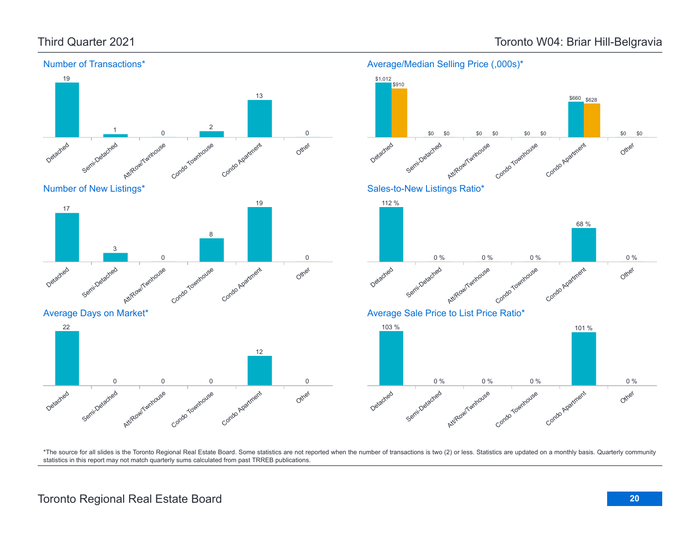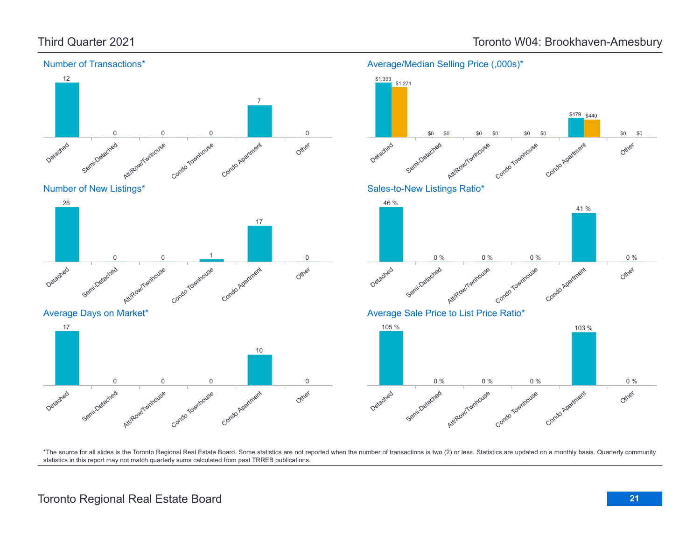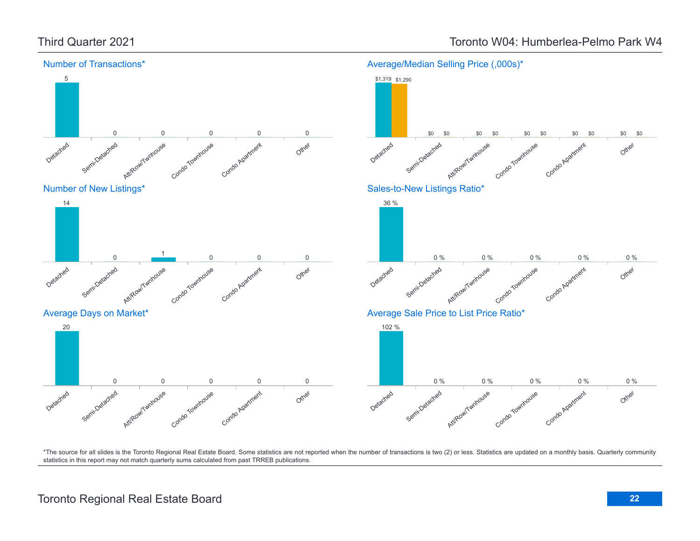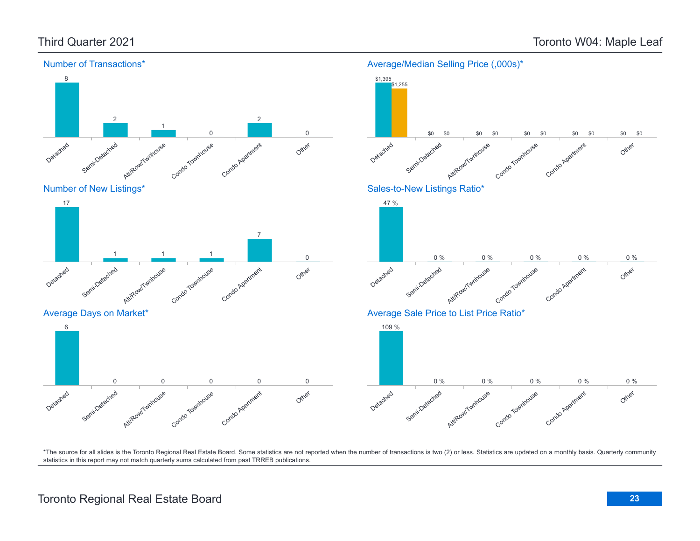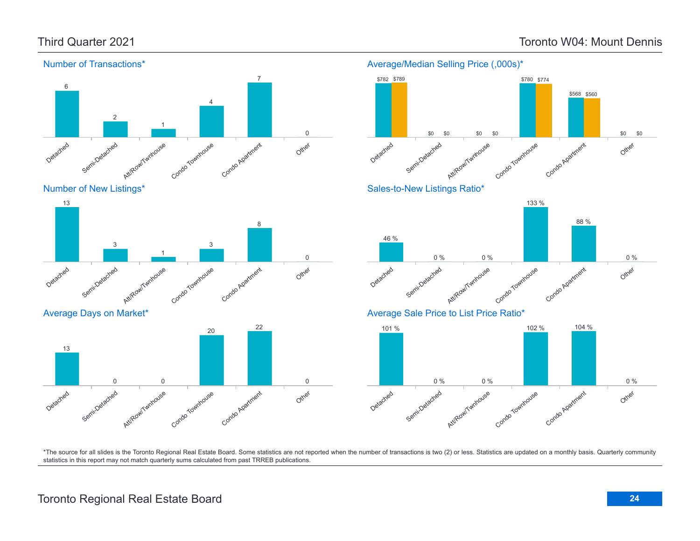### Third Quarter 2021 Toronto W04: Mount Dennis





### Average Days on Market\*



### Average/Median Selling Price (,000s)\* Semi-Detache Att/Row/Twnhouse Condo Townhouse Condo Apartment Other \$782 \$789 \$0 \$0 \$0 \$0 \$780 \$774 \$568 \$560 \$0 \$0 Sales-to-New Listings Ratio\* Detached Semi-Detached ITwnhouse Condo Townhouse Condo Agatment Other 0 % 0 % 133 % 88 % 0 % Average Sale Price to List Price Ratio\* 101 % 102 % 104 %

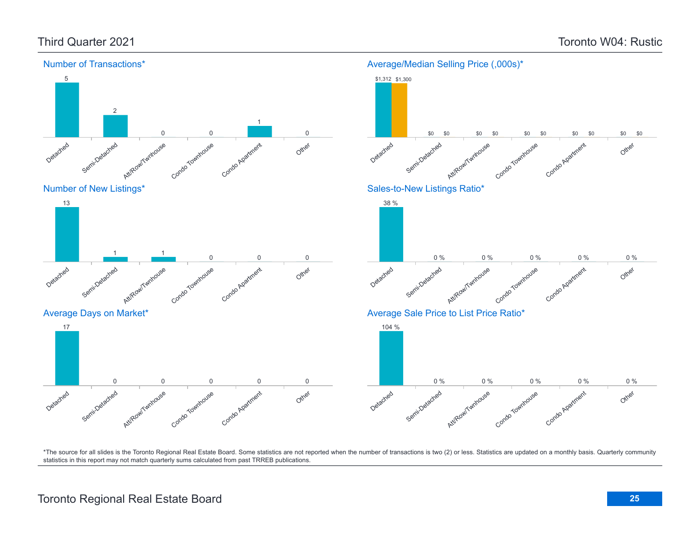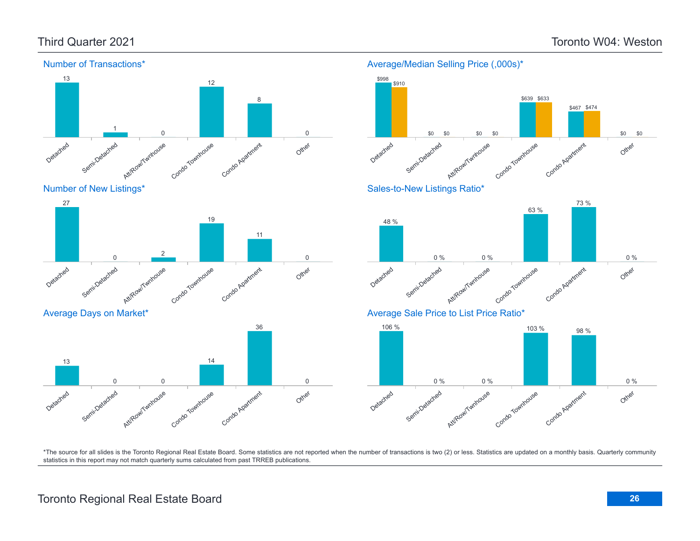

### Toronto Regional Real Estate Board **26**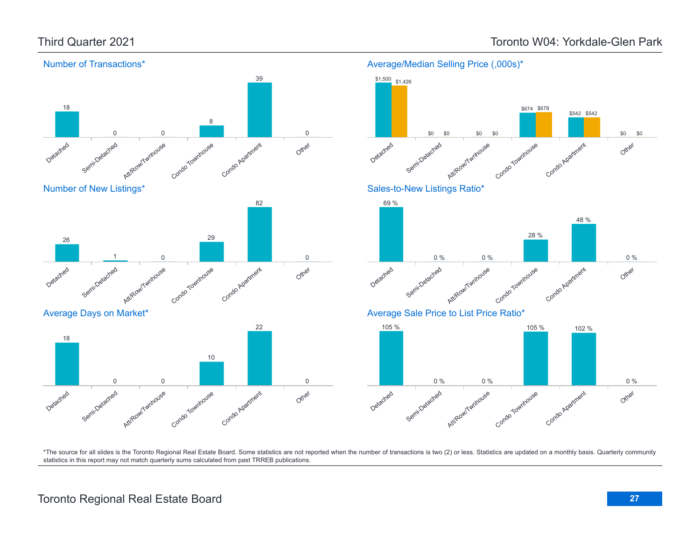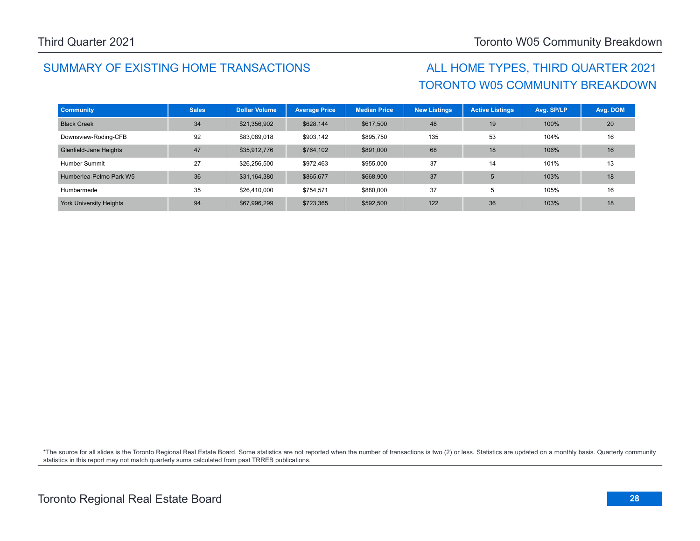## SUMMARY OF EXISTING HOME TRANSACTIONS ALL HOME TYPES, THIRD QUARTER 2021

# TORONTO W05 COMMUNITY BREAKDOWN

| <b>Community</b>               | <b>Sales</b> | <b>Dollar Volume</b> | <b>Average Price</b> | <b>Median Price</b> | <b>New Listings</b> | <b>Active Listings</b> | Avg. SP/LP | Avg. DOM |
|--------------------------------|--------------|----------------------|----------------------|---------------------|---------------------|------------------------|------------|----------|
| <b>Black Creek</b>             | 34           | \$21,356,902         | \$628,144            | \$617,500           | 48                  | 19                     | 100%       | 20       |
| Downsview-Roding-CFB           | 92           | \$83,089,018         | \$903,142            | \$895,750           | 135                 | 53                     | 104%       | 16       |
| Glenfield-Jane Heights         | 47           | \$35,912,776         | \$764,102            | \$891,000           | 68                  | 18                     | 106%       | 16       |
| Humber Summit                  | 27           | \$26,256,500         | \$972,463            | \$955,000           | 37                  | 14                     | 101%       | 13       |
| Humberlea-Pelmo Park W5        | 36           | \$31,164,380         | \$865,677            | \$668,900           | 37                  | 5                      | 103%       | 18       |
| Humbermede                     | 35           | \$26,410,000         | \$754,571            | \$880,000           | 37                  | 5                      | 105%       | 16       |
| <b>York University Heights</b> | 94           | \$67,996,299         | \$723,365            | \$592,500           | 122                 | 36                     | 103%       | 18       |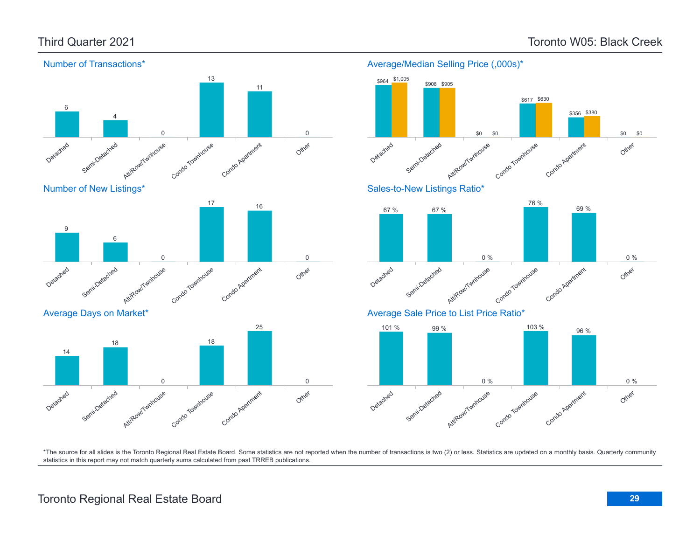69 %

Other

Other

Other

0 %

0 %

\$0

\$0

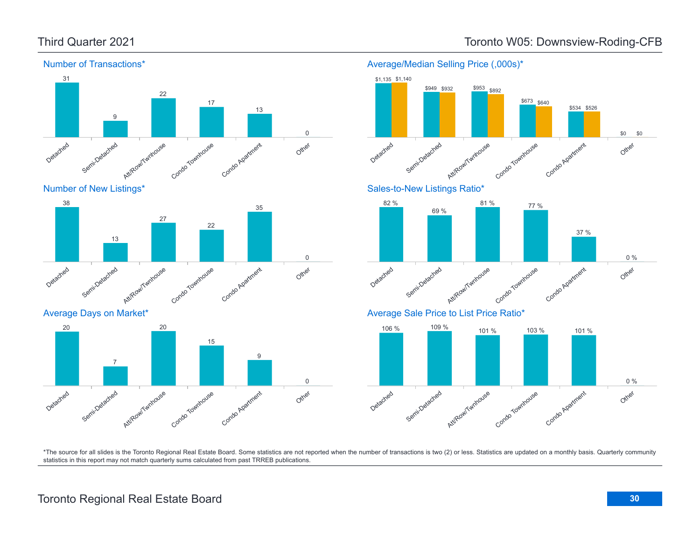

### Average/Median Selling Price (,000s)\*



\*The source for all slides is the Toronto Regional Real Estate Board. Some statistics are not reported when the number of transactions is two (2) or less. Statistics are updated on a monthly basis. Quarterly community statistics in this report may not match quarterly sums calculated from past TRREB publications.

Other

0

Att/Row/Twnhouse

Condo Townhouse

Condo Apartment

9

Detached

Semi-Detached

7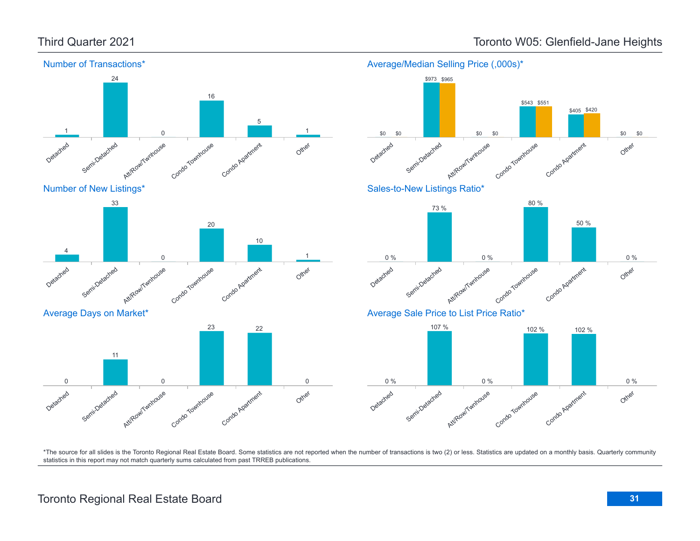

### Third Quarter 2021 Toronto W05: Glenfield-Jane Heights

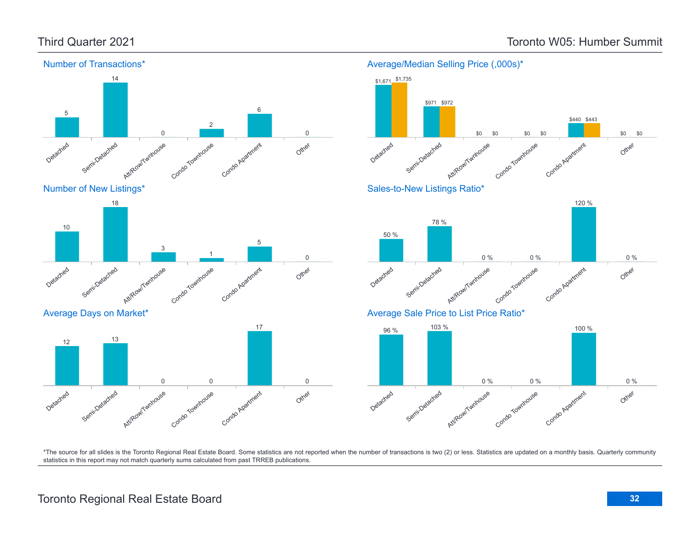\$0

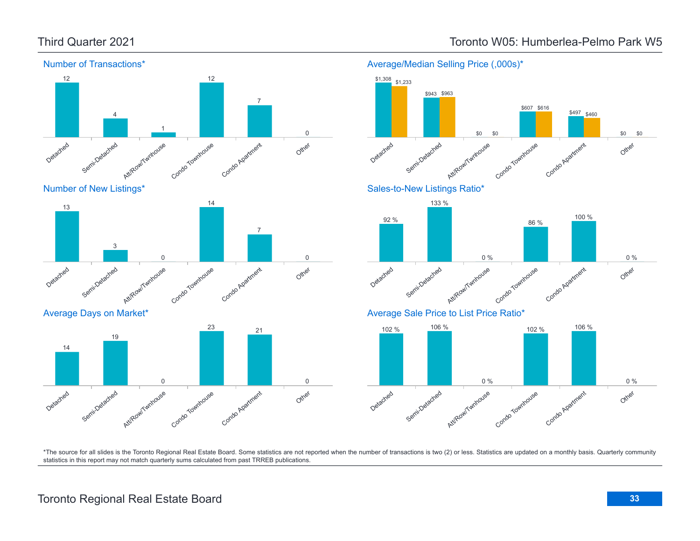Detached

Detached

14

Semi-Detached

Average Days on Market\*

Semi-Detached

3

19

Att/Row/Twnhouse

Att/Row/Twnhouse

0

0



Condo Townhouse

23

Condo Townhouse

Condo Agatment

21

Condo Agatment

Other

Other

0

0

### Third Quarter 2021 Toronto W05: Humberlea-Pelmo Park W5

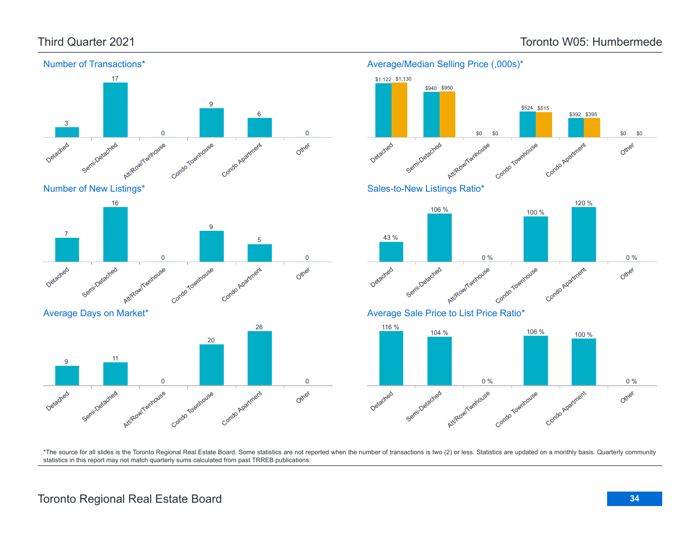

### Average/Median Selling Price (,000s)\*



Condo Townhouse

Condo Agatment

Att/Row/Twnhouse

0 %

\*The source for all slides is the Toronto Regional Real Estate Board. Some statistics are not reported when the number of transactions is two (2) or less. Statistics are updated on a monthly basis. Quarterly community statistics in this report may not match quarterly sums calculated from past TRREB publications.

Other

0 %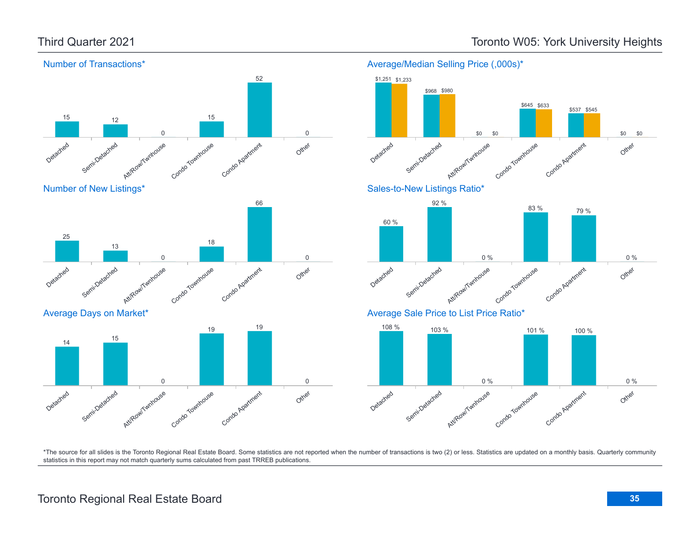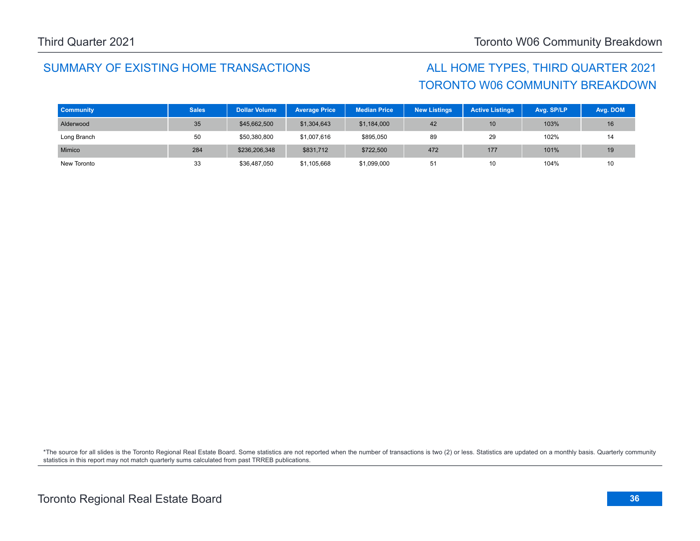## SUMMARY OF EXISTING HOME TRANSACTIONS ALL HOME TYPES, THIRD QUARTER 2021

# TORONTO W06 COMMUNITY BREAKDOWN

| <b>Community</b> | <b>Sales</b> | <b>Dollar Volume</b> | <b>Average Price</b> | <b>Median Price</b> | <b>New Listings</b> | <b>Active Listings</b> | Avg. SP/LP | Avg. DOM |
|------------------|--------------|----------------------|----------------------|---------------------|---------------------|------------------------|------------|----------|
| Alderwood        | 35           | \$45,662,500         | \$1,304,643          | \$1,184,000         | 42                  | 10                     | 103%       | 16       |
| Long Branch      | 50           | \$50,380,800         | \$1,007,616          | \$895,050           | 89                  | 29                     | 102%       | 14       |
| Mimico           | 284          | \$236,206,348        | \$831,712            | \$722,500           | 472                 | 177                    | 101%       | 19       |
| New Toronto      | 33           | \$36,487,050         | \$1,105,668          | \$1,099,000         | 5                   | 10                     | 104%       | 10       |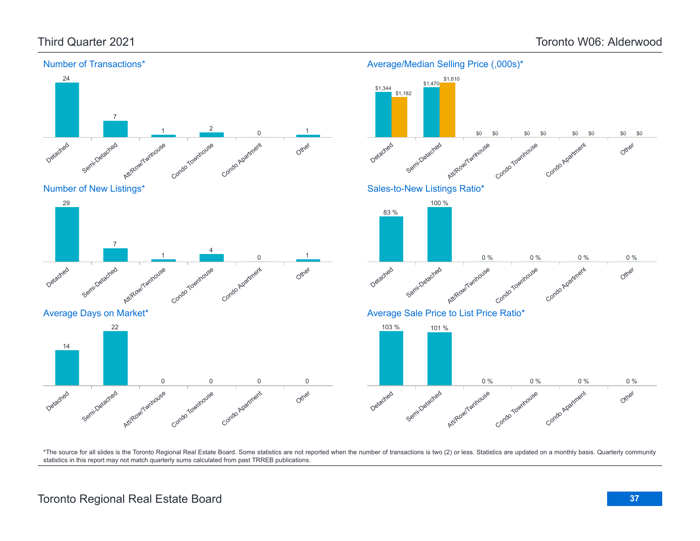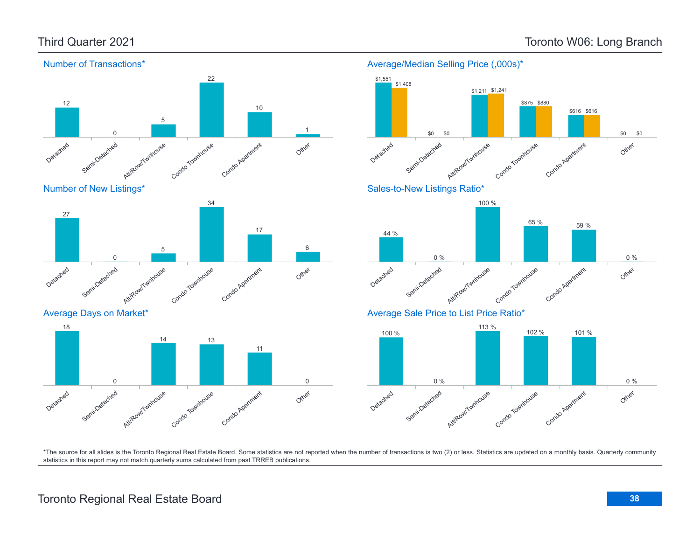\$616 \$616





\$875 \$880

\*The source for all slides is the Toronto Regional Real Estate Board. Some statistics are not reported when the number of transactions is two (2) or less. Statistics are updated on a monthly basis. Quarterly community statistics in this report may not match quarterly sums calculated from past TRREB publications.

Other

Att/Row/Twnhouse

Condo Townhouse

Condo Agatment

Detached

Semi-Detached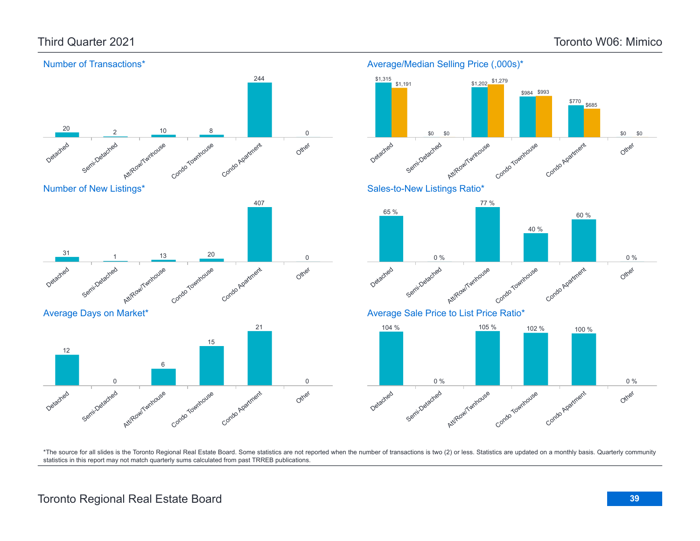

### Toronto Regional Real Estate Board **39**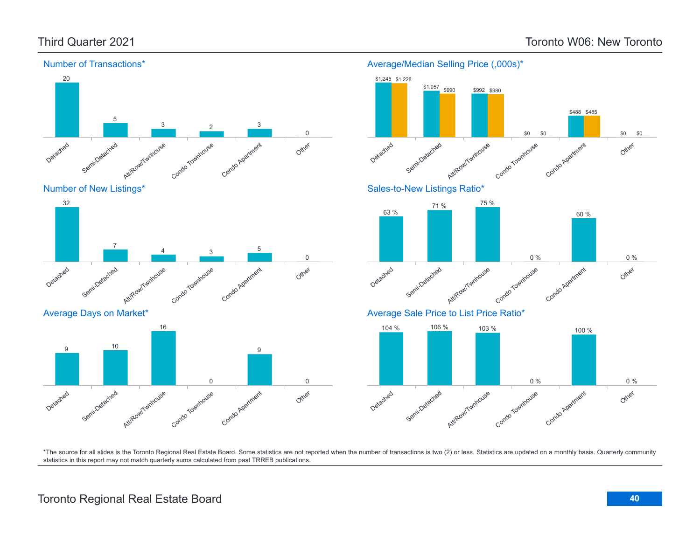Detached

Detached

9

Semi-Detached

Average Days on Market\*

10

Semi-Detached

Att/Row/Twnhouse

16

Att/Row/Twnhouse



Condo Townhouse

Condo Townhouse

0

4 3

Condo Apartment

Condo Apartment

5

9

Other

Other

0

0

### Number of Transactions\*



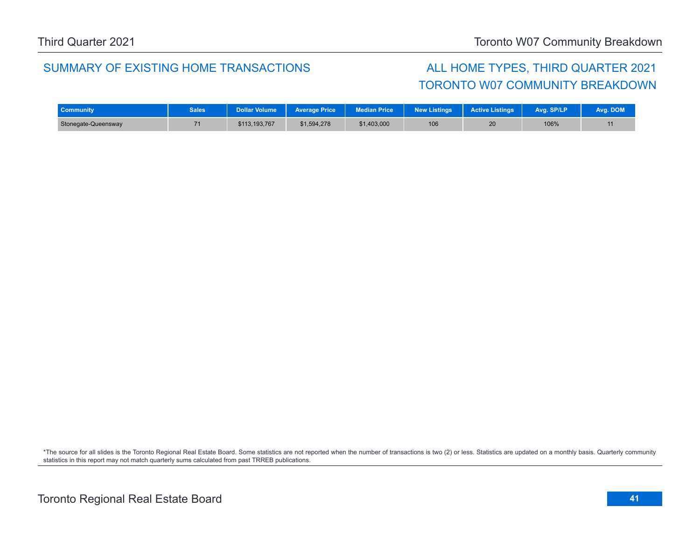### SUMMARY OF EXISTING HOME TRANSACTIONS ALL HOME TYPES, THIRD QUARTER 2021

## TORONTO W07 COMMUNITY BREAKDOWN

| <b>Community</b>    | <b>Sales</b> | Dollar Volume | <b>Average Price</b> | <b>Median Price</b> | <b>New Listings</b> | <b>Active Listings</b> | Ava. SP/LP | Ava. DOM |
|---------------------|--------------|---------------|----------------------|---------------------|---------------------|------------------------|------------|----------|
| Stonegate-Queensway | 74           | \$113,193,767 | \$1,594,278          | \$1,403,000         | 106                 |                        | 106%       |          |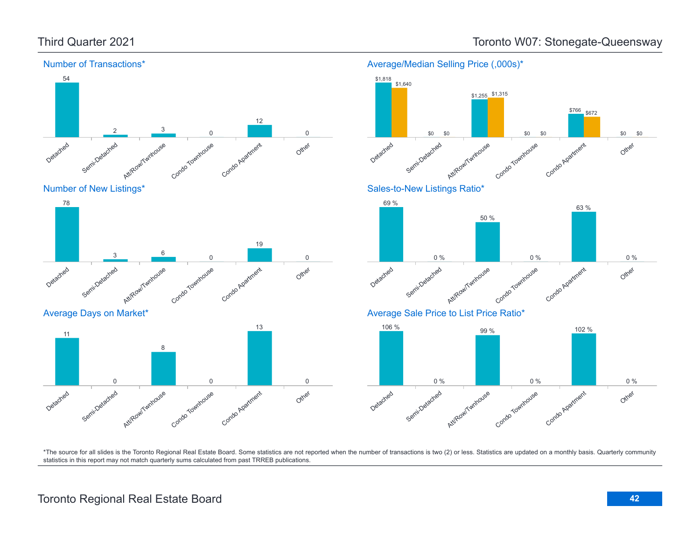

Other

Other

Other

0 %

0 %

\$0

\$0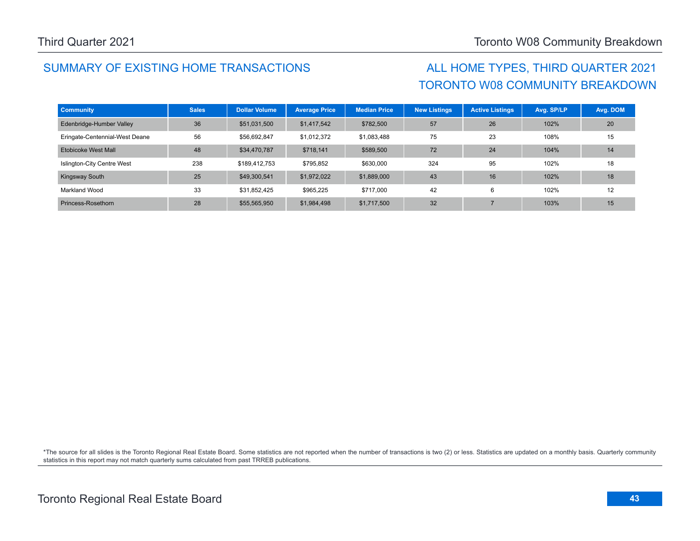## SUMMARY OF EXISTING HOME TRANSACTIONS ALL HOME TYPES, THIRD QUARTER 2021

# TORONTO W08 COMMUNITY BREAKDOWN

| <b>Community</b>               | <b>Sales</b> | <b>Dollar Volume</b> | <b>Average Price</b> | <b>Median Price</b> | New Listings | <b>Active Listings</b> | Avg. SP/LP | Avg. DOM |
|--------------------------------|--------------|----------------------|----------------------|---------------------|--------------|------------------------|------------|----------|
| Edenbridge-Humber Valley       | 36           | \$51,031,500         | \$1,417,542          | \$782,500           | 57           | 26                     | 102%       | 20       |
| Eringate-Centennial-West Deane | 56           | \$56,692,847         | \$1,012,372          | \$1,083,488         | 75           | 23                     | 108%       | 15       |
| Etobicoke West Mall            | 48           | \$34,470,787         | \$718,141            | \$589,500           | 72           | 24                     | 104%       | 14       |
| Islington-City Centre West     | 238          | \$189,412,753        | \$795.852            | \$630,000           | 324          | 95                     | 102%       | 18       |
| <b>Kingsway South</b>          | 25           | \$49,300,541         | \$1,972,022          | \$1,889,000         | 43           | 16                     | 102%       | 18       |
| Markland Wood                  | 33           | \$31.852.425         | \$965,225            | \$717,000           | 42           | 6                      | 102%       | 12       |
| Princess-Rosethorn             | 28           | \$55,565,950         | \$1,984,498          | \$1,717,500         | 32           |                        | 103%       | 15       |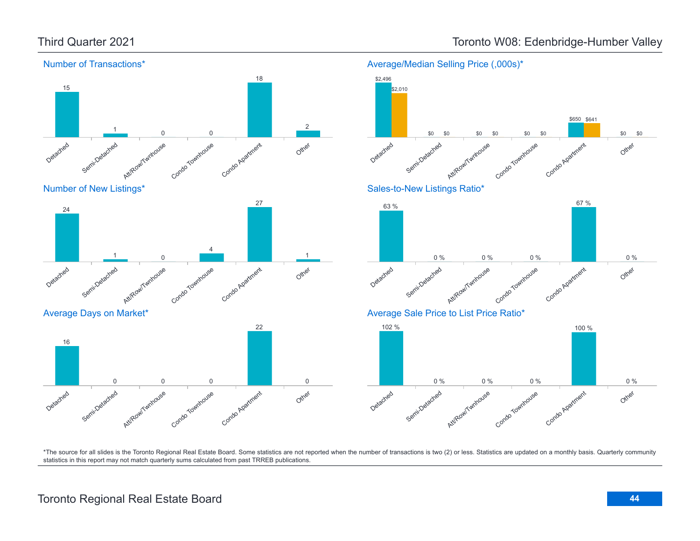### Third Quarter 2021 Toronto W08: Edenbridge-Humber Valley

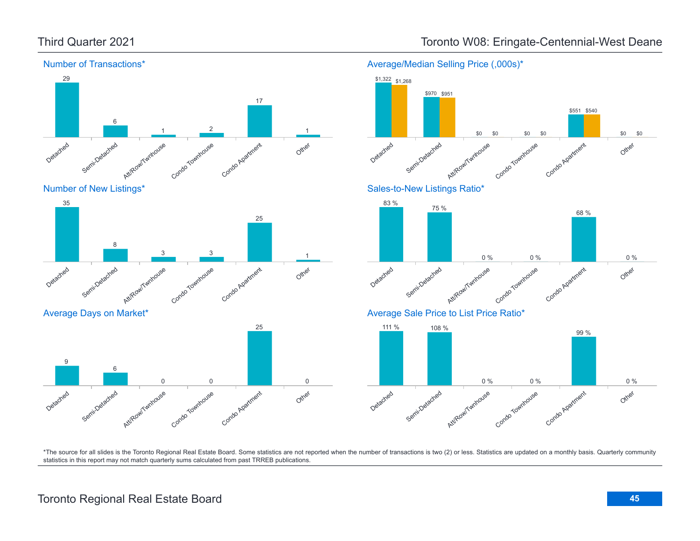Number of Transactions\*



## Third Quarter 2021 Toronto W08: Eringate-Centennial-West Deane

Average/Median Selling Price (,000s)\*

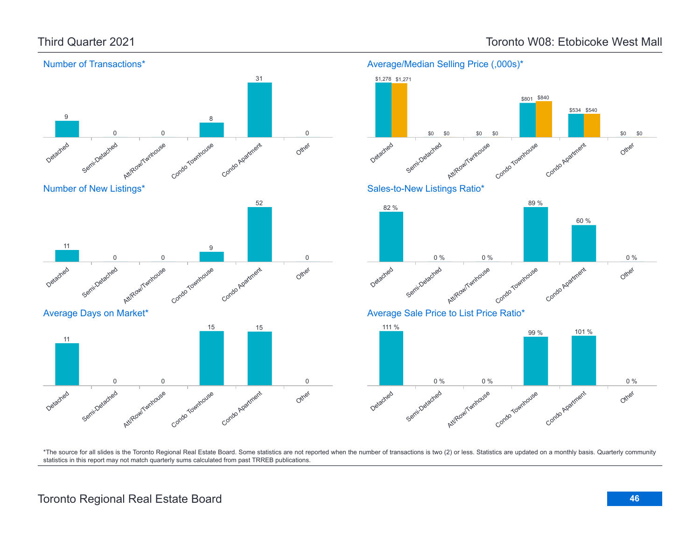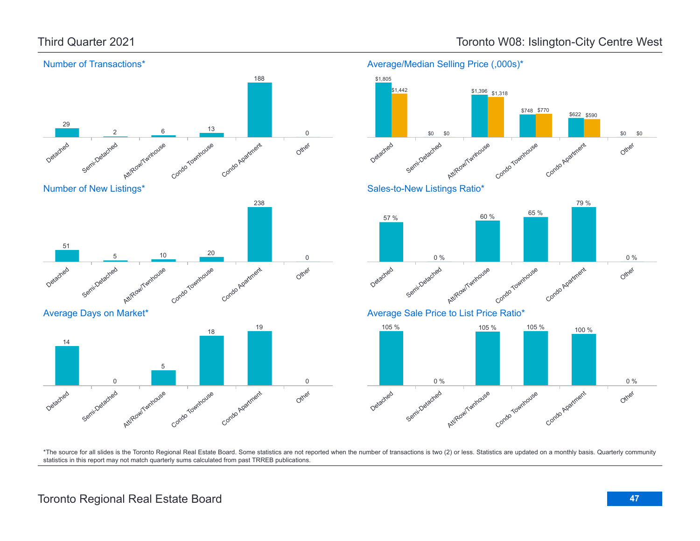

### Toronto Regional Real Estate Board **47**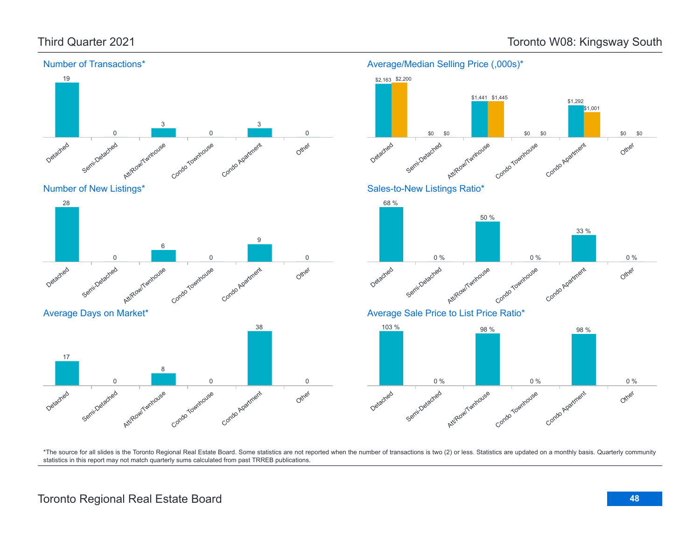

### Number of Transactions\*

Average/Median Selling Price (,000s)\*

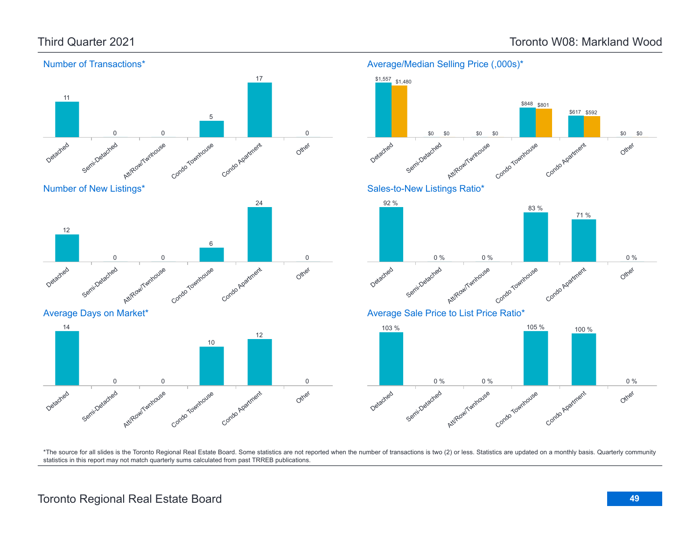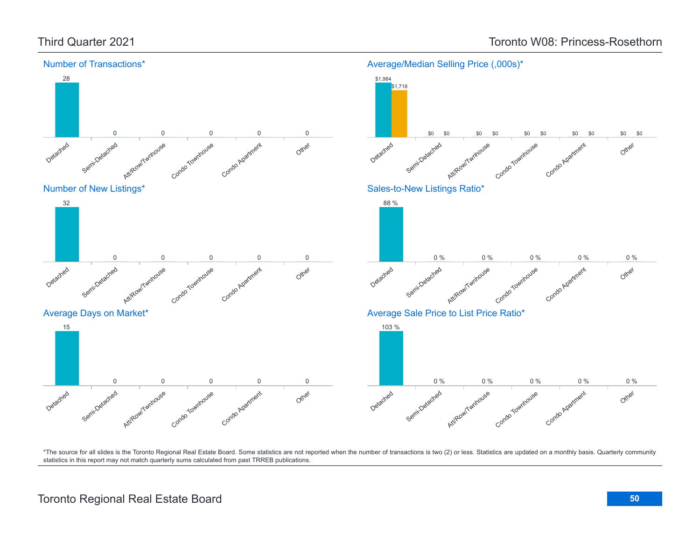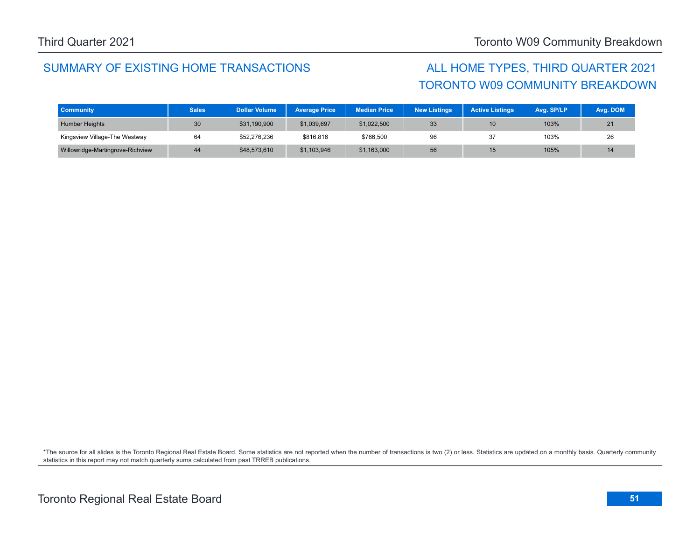## SUMMARY OF EXISTING HOME TRANSACTIONS ALL HOME TYPES, THIRD QUARTER 2021

# TORONTO W09 COMMUNITY BREAKDOWN

| <b>Community</b>                 | <b>Sales</b> | <b>Dollar Volume</b> | <b>Average Price</b> | <b>Median Price</b> | New Listings | <b>Active Listings</b> | Avg. SP/LP | Avg. DOM |
|----------------------------------|--------------|----------------------|----------------------|---------------------|--------------|------------------------|------------|----------|
| <b>Humber Heights</b>            | 30           | \$31,190,900         | \$1,039,697          | \$1,022,500         | 33           | 10                     | 103%       | 21       |
| Kingsview Village-The Westway    | 64           | \$52,276,236         | \$816,816            | \$766,500           | 96           | 37                     | 103%       | 26       |
| Willowridge-Martingrove-Richview | 44           | \$48,573,610         | \$1,103,946          | \$1,163,000         | 56           | 15                     | 105%       | 14       |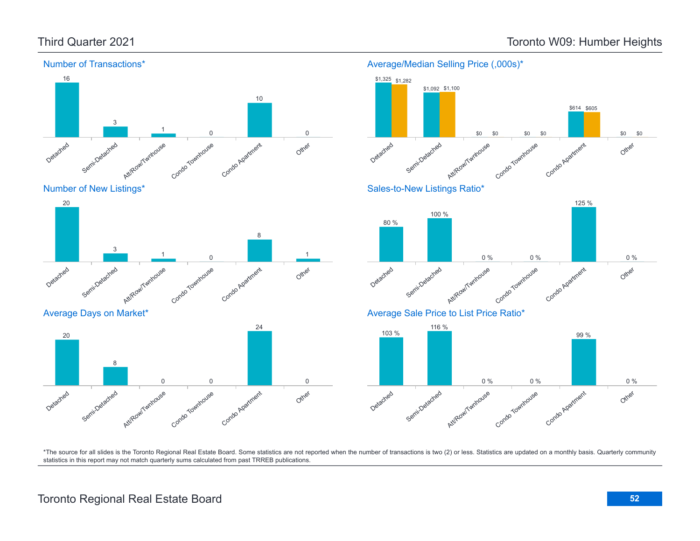\$0



Number of New Listings\*



### Average Days on Market\*



### Detached Semi-Detached Att/Row/Twnhouse Condo Townhouse Condo Agatment Other \$1,325 \$1,282 \$1,092 \$1,100 \$0 \$0 \$614 \$605 \$0 \$0 \$0 Sales-to-New Listings Ratio\* 80 % 100 % 0 % 0 % 125 %



Average Sale Price to List Price Ratio\*

Average/Median Selling Price (,000s)\*

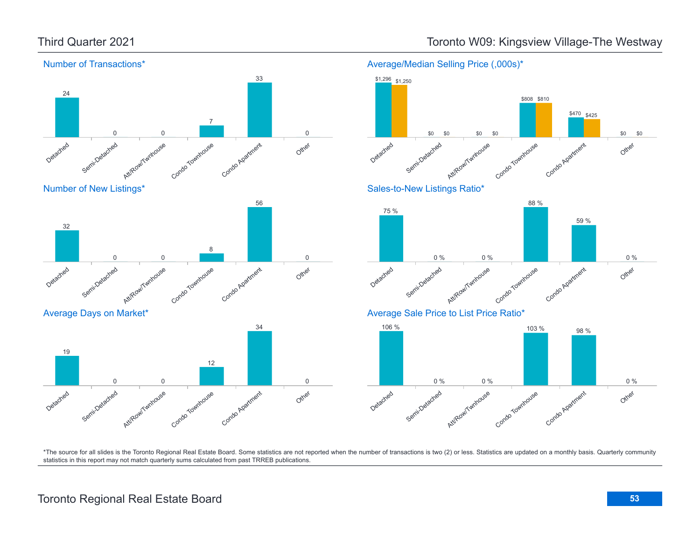

Third Quarter 2021 Toronto W09: Kingsview Village-The Westway

\*The source for all slides is the Toronto Regional Real Estate Board. Some statistics are not reported when the number of transactions is two (2) or less. Statistics are updated on a monthly basis. Quarterly community statistics in this report may not match quarterly sums calculated from past TRREB publications.

Other

Other

Other

0 %

0 %

\$0 \$0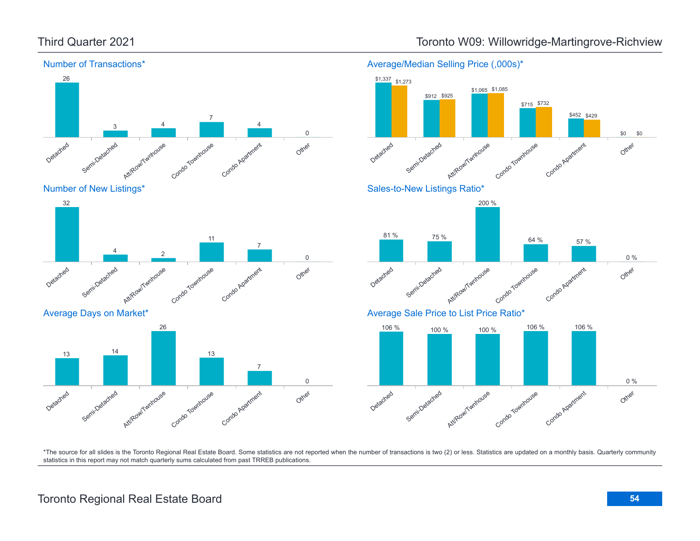







### Detached Semi-Detached Attifacturi Minhouse Condo Townhouse Condo Agatment Other \$1,337 \$1,273 \$912 \$925 \$1,065 \$1,085 \$715 \$732 \$452 \$429 \$0 \$0 Sales-to-New Listings Ratio\* Detached Semi-Detached Att/Row/Twmpuse Condo Townhouse Condo Agatment Other 81 % 75 % 200 % 64 % 57 % 0 % Average Sale Price to List Price Ratio\*



\*The source for all slides is the Toronto Regional Real Estate Board. Some statistics are not reported when the number of transactions is two (2) or less. Statistics are updated on a monthly basis. Quarterly community statistics in this report may not match quarterly sums calculated from past TRREB publications.

## Third Quarter 2021 Toronto W09: Willowridge-Martingrove-Richview

Average/Median Selling Price (,000s)\*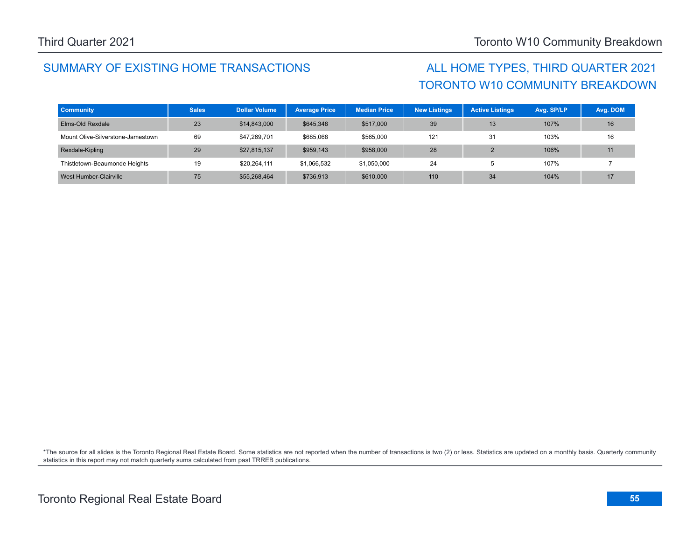## SUMMARY OF EXISTING HOME TRANSACTIONS ALL HOME TYPES, THIRD QUARTER 2021

# TORONTO W10 COMMUNITY BREAKDOWN

| <b>Community</b>                  | <b>Sales</b> | <b>Dollar Volume</b> | <b>Average Price</b> | <b>Median Price</b> | <b>New Listings</b> | <b>Active Listings</b> | Avg. SP/LP | Avg. DOM |
|-----------------------------------|--------------|----------------------|----------------------|---------------------|---------------------|------------------------|------------|----------|
| Elms-Old Rexdale                  | 23           | \$14,843,000         | \$645,348            | \$517,000           | 39                  | 13                     | 107%       | 16       |
| Mount Olive-Silverstone-Jamestown | 69           | \$47.269.701         | \$685,068            | \$565,000           | 121                 | 31                     | 103%       | 16       |
| Rexdale-Kipling                   | 29           | \$27,815,137         | \$959,143            | \$958,000           | 28                  |                        | 106%       | 11       |
| Thistletown-Beaumonde Heights     | 19           | \$20,264,111         | \$1,066,532          | \$1,050,000         | 24                  | с                      | 107%       |          |
| West Humber-Clairville            | 75           | \$55,268,464         | \$736,913            | \$610,000           | 110                 | 34                     | 104%       | 17       |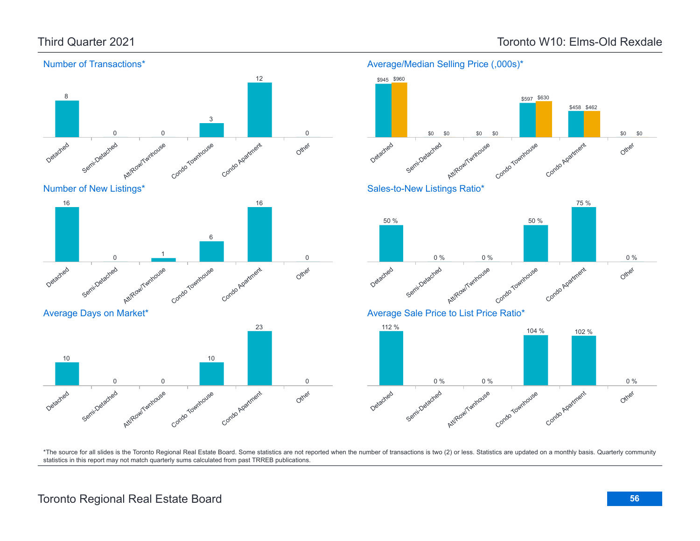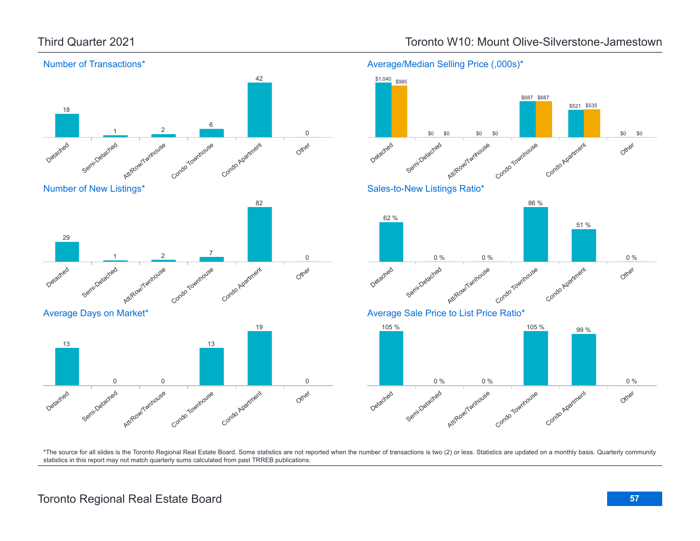Detached

13

Detached

29

Semi-Detached

Average Days on Market\*

Semi-Detached

Attlicowntwithouse

1 2



Townhouse

Condo Townhouse

7

13

Condo Agatment

19

Condo Agatment

Other

Other

0

0

### Third Quarter 2021 Toronto W10: Mount Olive-Silverstone-Jamestown



\*The source for all slides is the Toronto Regional Real Estate Board. Some statistics are not reported when the number of transactions is two (2) or less. Statistics are updated on a monthly basis. Quarterly community statistics in this report may not match quarterly sums calculated from past TRREB publications.

Att/Row/Twnhouse

0 0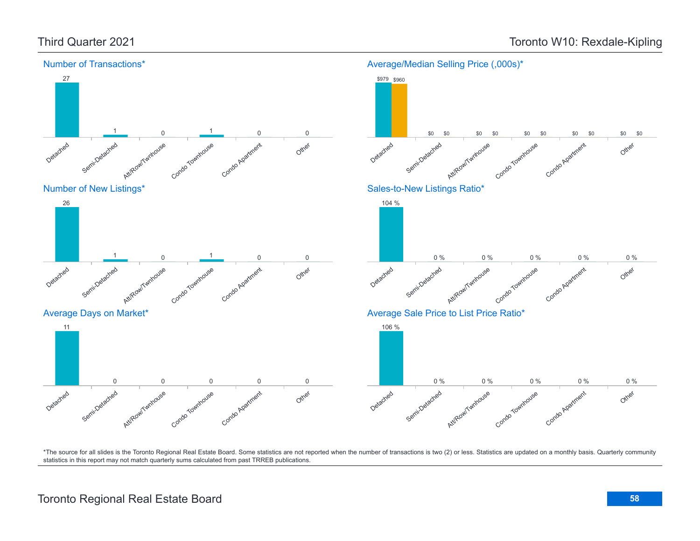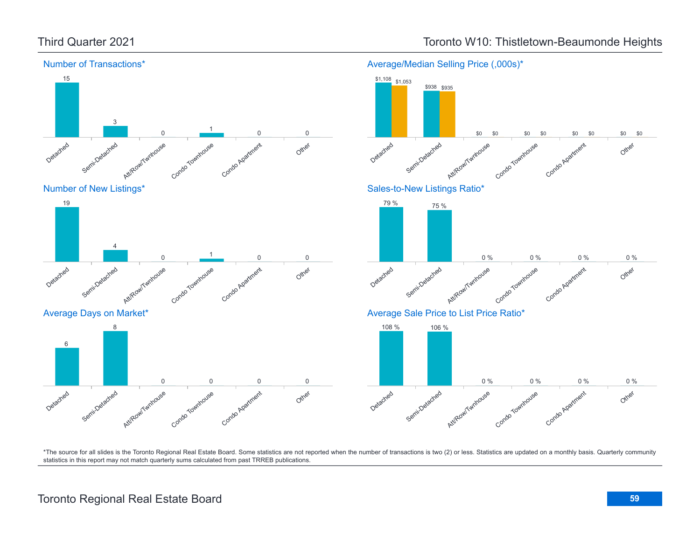